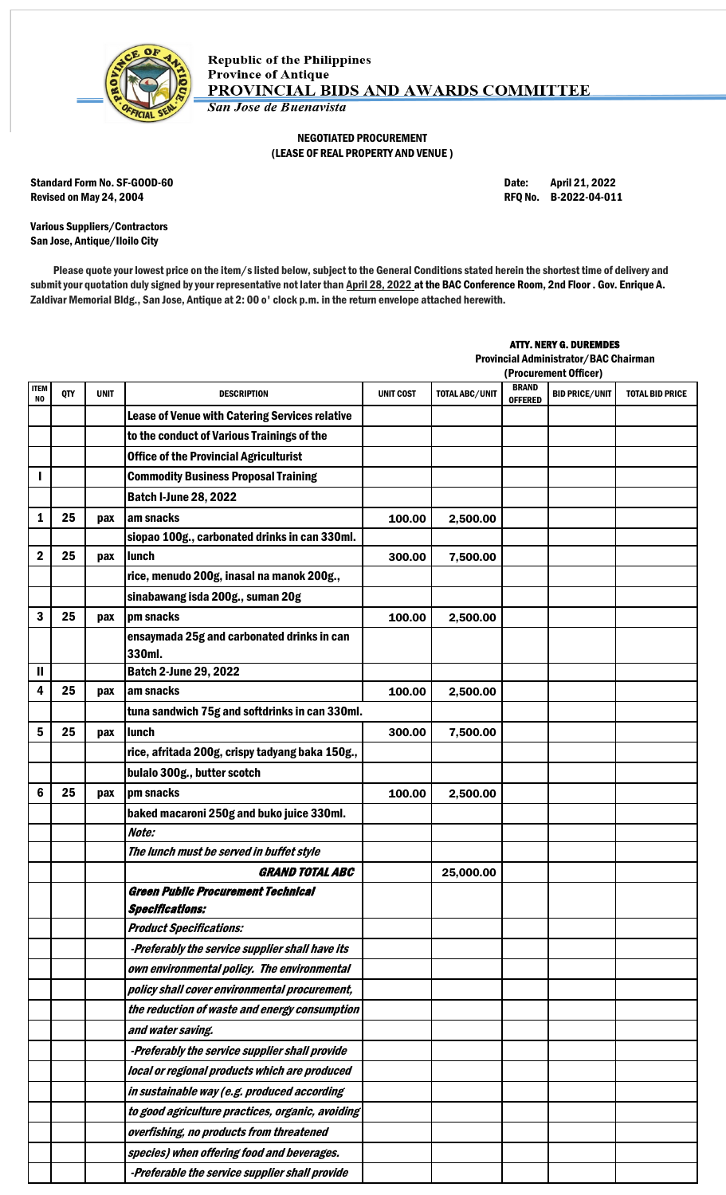

## NEGOTIATED PROCUREMENT (LEASE OF REAL PROPERTY AND VENUE )

Standard Form No. SF-GOOD-60 **Date:** April 21, 2022 Revised on May 24, 2004 **Review 12 and 2012** RFQ No. B-2022-04-011

Various Suppliers/Contractors San Jose, Antique/Iloilo City

Please quote your lowest price on the item/s listed below, subject to the General Conditions stated herein the shortest time of delivery and submit your quotation duly signed by your representative not later than April 28, 2022 at the BAC Conference Room, 2nd Floor . Gov. Enrique A. Zaldivar Memorial Bldg., San Jose, Antique at 2: 00 o' clock p.m. in the return envelope attached herewith.

## ATTY. NERY G. DUREMDES

Provincial Administrator/BAC Chairman

|                               |            |             |                                                                     |                  |                       |                                | (Procurement Officer) |                        |  |  |
|-------------------------------|------------|-------------|---------------------------------------------------------------------|------------------|-----------------------|--------------------------------|-----------------------|------------------------|--|--|
| <b>ITEM</b><br>N <sub>0</sub> | <b>QTY</b> | <b>UNIT</b> | <b>DESCRIPTION</b>                                                  | <b>UNIT COST</b> | <b>TOTAL ABC/UNIT</b> | <b>BRAND</b><br><b>OFFERED</b> | <b>BID PRICE/UNIT</b> | <b>TOTAL BID PRICE</b> |  |  |
|                               |            |             | <b>Lease of Venue with Catering Services relative</b>               |                  |                       |                                |                       |                        |  |  |
|                               |            |             | to the conduct of Various Trainings of the                          |                  |                       |                                |                       |                        |  |  |
|                               |            |             | <b>Office of the Provincial Agriculturist</b>                       |                  |                       |                                |                       |                        |  |  |
|                               |            |             | <b>Commodity Business Proposal Training</b>                         |                  |                       |                                |                       |                        |  |  |
|                               |            |             | <b>Batch I-June 28, 2022</b>                                        |                  |                       |                                |                       |                        |  |  |
| 1                             | 25         | pax         | am snacks                                                           | 100.00           | 2,500.00              |                                |                       |                        |  |  |
|                               |            |             | siopao 100g., carbonated drinks in can 330ml.                       |                  |                       |                                |                       |                        |  |  |
| 2                             | 25         | pax         | lunch                                                               | 300.00           | 7,500.00              |                                |                       |                        |  |  |
|                               |            |             | rice, menudo 200g, inasal na manok 200g.,                           |                  |                       |                                |                       |                        |  |  |
|                               |            |             | sinabawang isda 200g., suman 20g                                    |                  |                       |                                |                       |                        |  |  |
| 3                             | 25         | pax         | pm snacks                                                           | 100.00           | 2,500.00              |                                |                       |                        |  |  |
|                               |            |             | ensaymada 25g and carbonated drinks in can<br>330ml.                |                  |                       |                                |                       |                        |  |  |
| Ш                             |            |             | <b>Batch 2-June 29, 2022</b>                                        |                  |                       |                                |                       |                        |  |  |
| 4                             | 25         | pax         | am snacks                                                           | 100.00           | 2,500.00              |                                |                       |                        |  |  |
|                               |            |             | tuna sandwich 75g and softdrinks in can 330ml.                      |                  |                       |                                |                       |                        |  |  |
| 5                             | 25         | pax         | lunch                                                               | 300.00           | 7,500.00              |                                |                       |                        |  |  |
|                               |            |             | rice, afritada 200g, crispy tadyang baka 150g.,                     |                  |                       |                                |                       |                        |  |  |
|                               |            |             | bulalo 300g., butter scotch                                         |                  |                       |                                |                       |                        |  |  |
| 6                             | 25         | pax         | pm snacks                                                           | 100.00           | 2,500.00              |                                |                       |                        |  |  |
|                               |            |             | baked macaroni 250g and buko juice 330ml.                           |                  |                       |                                |                       |                        |  |  |
|                               |            |             | Note:                                                               |                  |                       |                                |                       |                        |  |  |
|                               |            |             | The lunch must be served in buffet style                            |                  |                       |                                |                       |                        |  |  |
|                               |            |             | <b>GRAND TOTAL ABC</b>                                              |                  | 25,000.00             |                                |                       |                        |  |  |
|                               |            |             | <b>Green Public Procurement Technical</b><br><b>Specifications:</b> |                  |                       |                                |                       |                        |  |  |
|                               |            |             | <b>Product Specifications:</b>                                      |                  |                       |                                |                       |                        |  |  |
|                               |            |             | -Preferably the service supplier shall have its                     |                  |                       |                                |                       |                        |  |  |
|                               |            |             | own environmental policy. The environmental                         |                  |                       |                                |                       |                        |  |  |
|                               |            |             | policy shall cover environmental procurement,                       |                  |                       |                                |                       |                        |  |  |
|                               |            |             | the reduction of waste and energy consumption                       |                  |                       |                                |                       |                        |  |  |
|                               |            |             | and water saving.                                                   |                  |                       |                                |                       |                        |  |  |
|                               |            |             | -Preferably the service supplier shall provide                      |                  |                       |                                |                       |                        |  |  |
|                               |            |             | local or regional products which are produced                       |                  |                       |                                |                       |                        |  |  |
|                               |            |             | in sustainable way (e.g. produced according                         |                  |                       |                                |                       |                        |  |  |
|                               |            |             | to good agriculture practices, organic, avoiding                    |                  |                       |                                |                       |                        |  |  |
|                               |            |             | overfishing, no products from threatened                            |                  |                       |                                |                       |                        |  |  |
|                               |            |             | species) when offering food and beverages.                          |                  |                       |                                |                       |                        |  |  |
|                               |            |             | -Preferable the service supplier shall provide                      |                  |                       |                                |                       |                        |  |  |